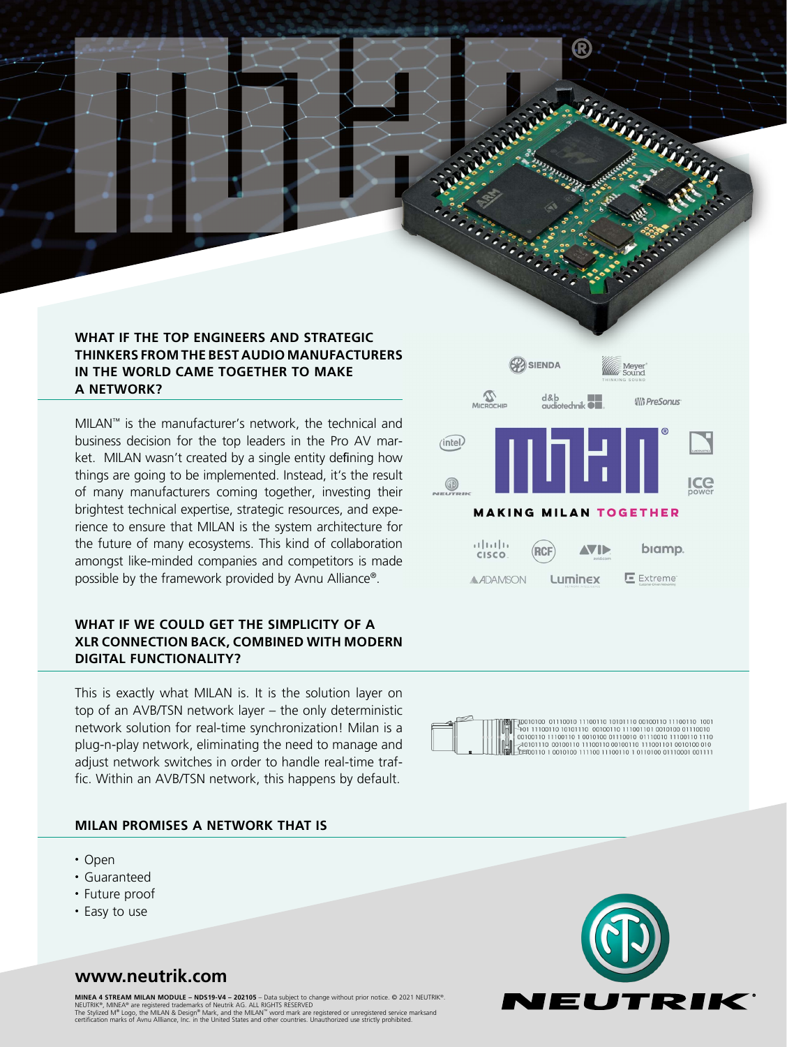# **WHAT IF THE TOP ENGINEERS AND STRATEGIC THINKERS FROM THE BEST AUDIO MANUFACTURERS IN THE WORLD CAME TOGETHER TO MAKE A NETWORK?**

MILAN™ is the manufacturer's network, the technical and business decision for the top leaders in the Pro AV market. MILAN wasn't created by a single entity defining how things are going to be implemented. Instead, it's the result of many manufacturers coming together, investing their brightest technical expertise, strategic resources, and experience to ensure that MILAN is the system architecture for the future of many ecosystems. This kind of collaboration amongst like-minded companies and competitors is made possible by the framework provided by Avnu Alliance®.

# **WHAT IF WE COULD GET THE SIMPLICITY OF A XLR CONNECTION BACK, COMBINED WITH MODERN DIGITAL FUNCTIONALITY?**

This is exactly what MILAN is. It is the solution layer on top of an AVB/TSN network layer – the only deterministic network solution for real-time synchronization! Milan is a plug-n-play network, eliminating the need to manage and adjust network switches in order to handle real-time traffic. Within an AVB/TSN network, this happens by default.

# **MILAN PROMISES A NETWORK THAT IS**

- Open
- Guaranteed
- Future proof
- Easy to use





 $\frac{1}{2}$  00110 10010100 111100 11100110 10110100 01110001 001111



# **www.neutrik.com**

**MINEA 4 STREAM MILAN MODULE – NDS19-V4 – 202105** – Data subject to change without prior notice. © 2021 NEUTRIK®.<br>NEUTRIK®, MINEA® are registered trademarks of Neutrik AG. ALL RIGHTS RESERVED<br>The Stylized M® Logo, the MILA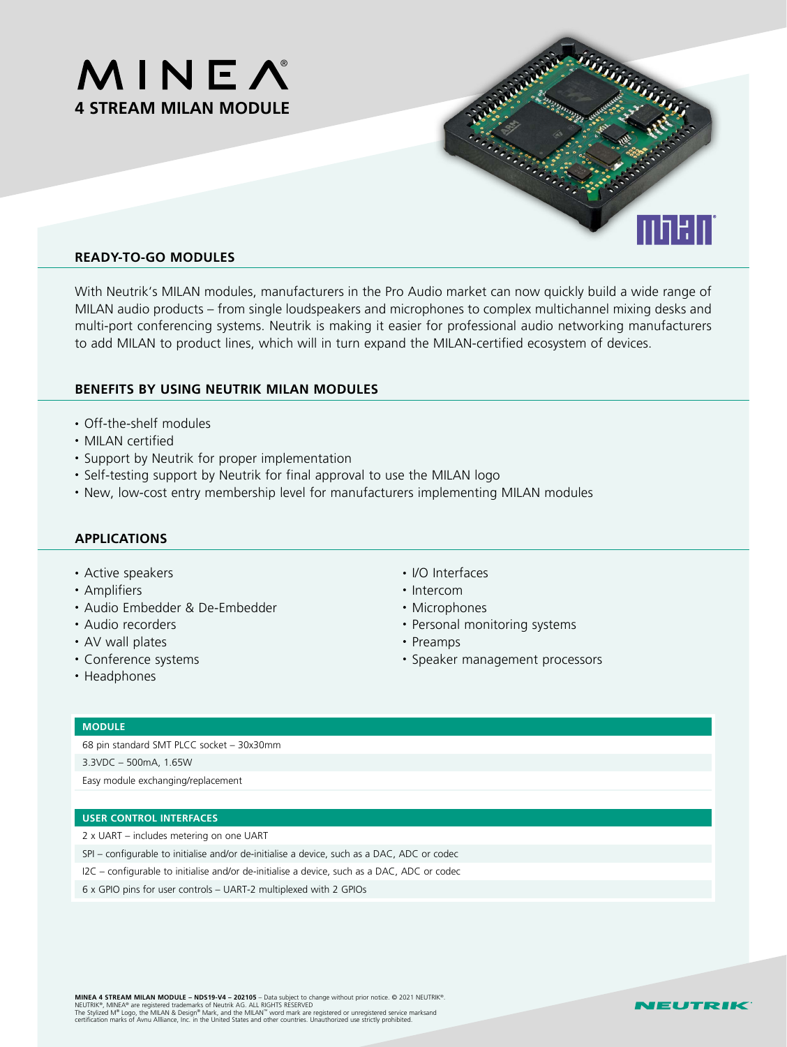



# **READY-TO-GO MODULES**

With Neutrik's MILAN modules, manufacturers in the Pro Audio market can now quickly build a wide range of MILAN audio products – from single loudspeakers and microphones to complex multichannel mixing desks and multi-port conferencing systems. Neutrik is making it easier for professional audio networking manufacturers to add MILAN to product lines, which will in turn expand the MILAN-certified ecosystem of devices.

### **BENEFITS BY USING NEUTRIK MILAN MODULES**

- Off-the-shelf modules
- MILAN certified
- Support by Neutrik for proper implementation
- Self-testing support by Neutrik for final approval to use the MILAN logo
- New, low-cost entry membership level for manufacturers implementing MILAN modules

## **APPLICATIONS**

- Active speakers
- Amplifiers
- Audio Embedder & De-Embedder
- Audio recorders
- AV wall plates
- Conference systems
- Headphones
- I/O Interfaces
- Intercom
- Microphones
- Personal monitoring systems
- Preamps
- Speaker management processors

#### **MODULE**

68 pin standard SMT PLCC socket – 30x30mm

3.3VDC – 500mA, 1.65W

Easy module exchanging/replacement

#### **USER CONTROL INTERFACES**

2 x UART – includes metering on one UART

- SPI configurable to initialise and/or de-initialise a device, such as a DAC, ADC or codec
- I2C configurable to initialise and/or de-initialise a device, such as a DAC, ADC or codec
- 6 x GPIO pins for user controls UART-2 multiplexed with 2 GPIOs

**MINEA 4 STREAM MILAN MODULE – NDS19-V4 – 202105** – Data subject to change without prior notice. © 2021 NEUTRIK®.<br>NEUTRIK®, MINEA® are registered trademarks of Neutrik AG. ALL RIGHTS RESERVED<br>The Stylized M® Logo, the MILA